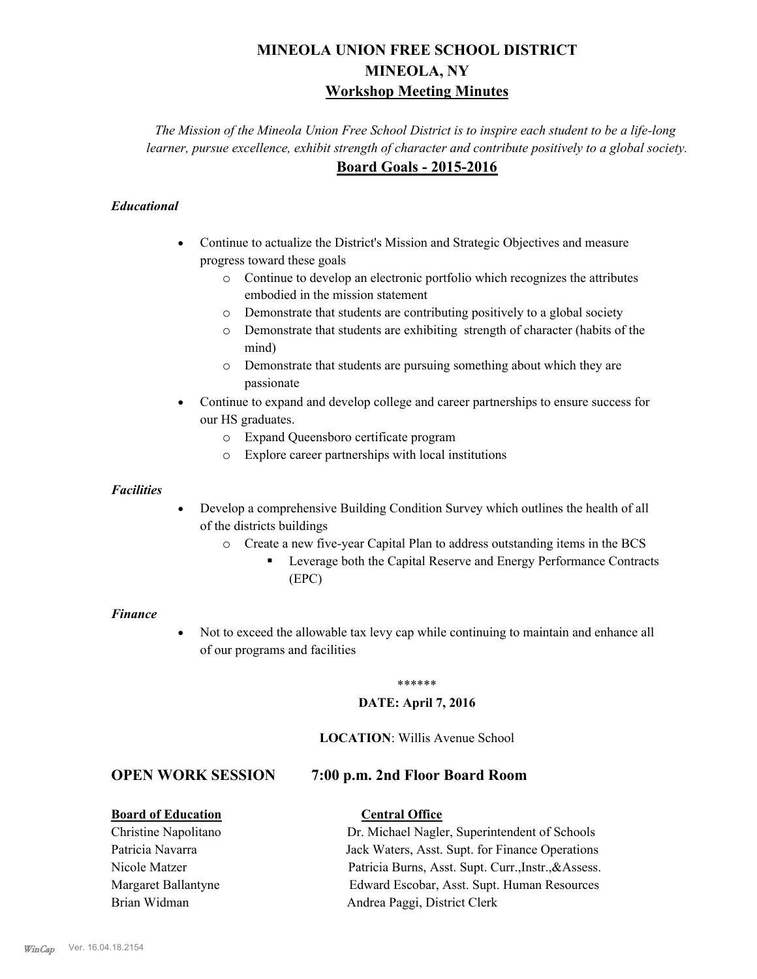# **MINEOLA UNION FREE SCHOOL DISTRICT MINEOLA, NY Workshop Meeting Minutes**

*The Mission of the Mineola Union Free School District is to inspire each student to be a life-long learner, pursue excellence, exhibit strength of character and contribute positively to a global society.* **Board Goals - 2015-2016**

## *Educational*

- · Continue to actualize the District's Mission and Strategic Objectives and measure progress toward these goals
	- o Continue to develop an electronic portfolio which recognizes the attributes embodied in the mission statement
	- o Demonstrate that students are contributing positively to a global society
	- o Demonstrate that students are exhibiting strength of character (habits of the mind)
	- o Demonstrate that students are pursuing something about which they are passionate
- Continue to expand and develop college and career partnerships to ensure success for our HS graduates.
	- o Expand Queensboro certificate program
	- o Explore career partnerships with local institutions

## *Facilities*

- Develop a comprehensive Building Condition Survey which outlines the health of all of the districts buildings
	- o Create a new five-year Capital Plan to address outstanding items in the BCS
		- § Leverage both the Capital Reserve and Energy Performance Contracts (EPC)

#### *Finance*

• Not to exceed the allowable tax levy cap while continuing to maintain and enhance all of our programs and facilities

#### \*\*\*\*\*\*

## **DATE: April 7, 2016**

### **LOCATION**: Willis Avenue School

## **OPEN WORK SESSION 7:00 p.m. 2nd Floor Board Room**

## **Board of Education Central Office**

Christine Napolitano Dr. Michael Nagler, Superintendent of Schools Patricia Navarra Jack Waters, Asst. Supt. for Finance Operations Nicole Matzer Patricia Burns, Asst. Supt. Curr.,Instr.,&Assess. Margaret Ballantyne Edward Escobar, Asst. Supt. Human Resources Brian Widman **Andrea Paggi, District Clerk**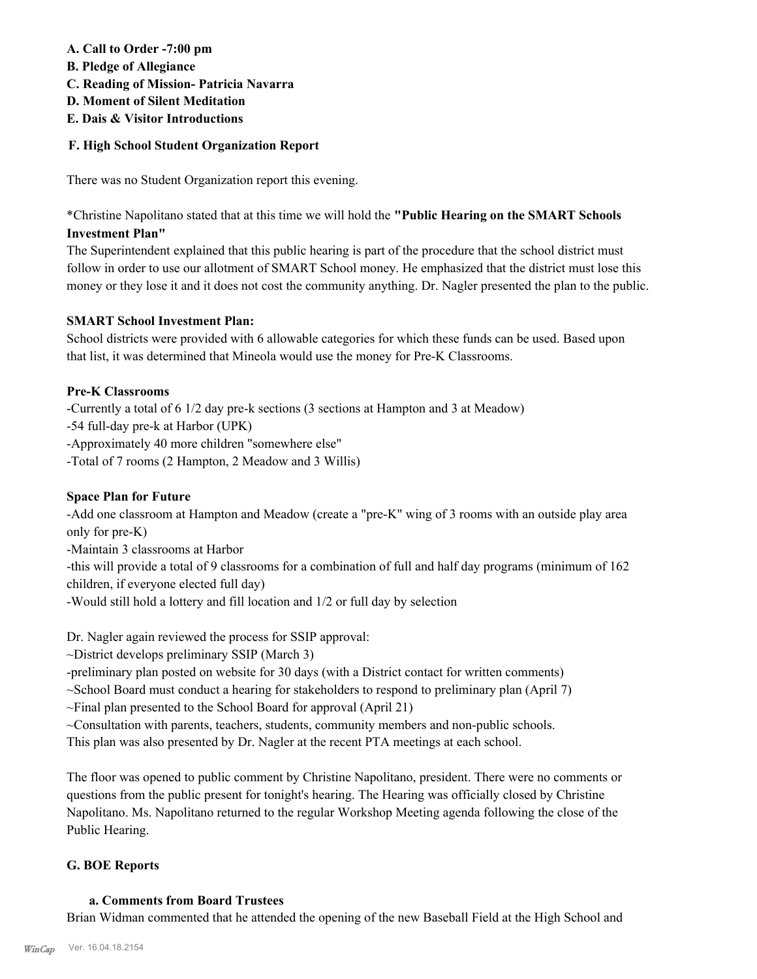## **A. Call to Order -7:00 pm**

- **B. Pledge of Allegiance**
- **C. Reading of Mission- Patricia Navarra**
- **D. Moment of Silent Meditation**
- **E. Dais & Visitor Introductions**

## **F. High School Student Organization Report**

There was no Student Organization report this evening.

\*Christine Napolitano stated that at this time we will hold the **"Public Hearing on the SMART Schools Investment Plan"**

The Superintendent explained that this public hearing is part of the procedure that the school district must follow in order to use our allotment of SMART School money. He emphasized that the district must lose this money or they lose it and it does not cost the community anything. Dr. Nagler presented the plan to the public.

## **SMART School Investment Plan:**

School districts were provided with 6 allowable categories for which these funds can be used. Based upon that list, it was determined that Mineola would use the money for Pre-K Classrooms.

## **Pre-K Classrooms**

-Currently a total of 6 1/2 day pre-k sections (3 sections at Hampton and 3 at Meadow)

-54 full-day pre-k at Harbor (UPK)

-Approximately 40 more children "somewhere else"

-Total of 7 rooms (2 Hampton, 2 Meadow and 3 Willis)

## **Space Plan for Future**

-Add one classroom at Hampton and Meadow (create a "pre-K" wing of 3 rooms with an outside play area only for pre-K)

-Maintain 3 classrooms at Harbor

-this will provide a total of 9 classrooms for a combination of full and half day programs (minimum of 162 children, if everyone elected full day)

-Would still hold a lottery and fill location and 1/2 or full day by selection

Dr. Nagler again reviewed the process for SSIP approval:

~District develops preliminary SSIP (March 3)

-preliminary plan posted on website for 30 days (with a District contact for written comments)

~School Board must conduct a hearing for stakeholders to respond to preliminary plan (April 7)

~Final plan presented to the School Board for approval (April 21)

~Consultation with parents, teachers, students, community members and non-public schools.

This plan was also presented by Dr. Nagler at the recent PTA meetings at each school.

The floor was opened to public comment by Christine Napolitano, president. There were no comments or questions from the public present for tonight's hearing. The Hearing was officially closed by Christine Napolitano. Ms. Napolitano returned to the regular Workshop Meeting agenda following the close of the Public Hearing.

## **G. BOE Reports**

## **a. Comments from Board Trustees**

Brian Widman commented that he attended the opening of the new Baseball Field at the High School and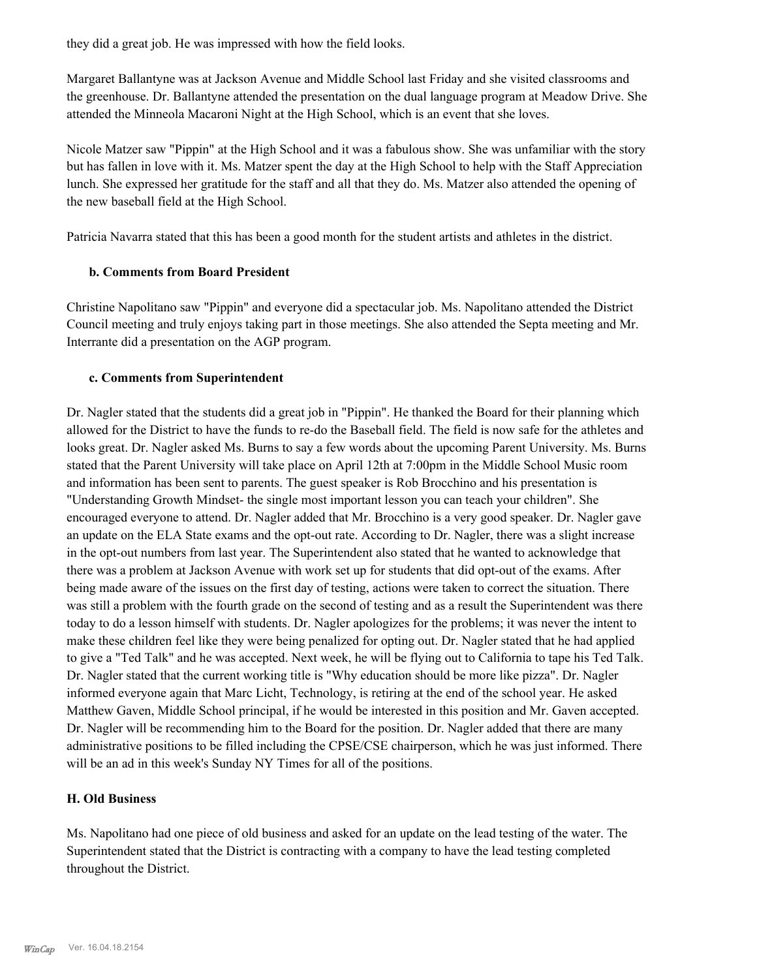they did a great job. He was impressed with how the field looks.

Margaret Ballantyne was at Jackson Avenue and Middle School last Friday and she visited classrooms and the greenhouse. Dr. Ballantyne attended the presentation on the dual language program at Meadow Drive. She attended the Minneola Macaroni Night at the High School, which is an event that she loves.

Nicole Matzer saw "Pippin" at the High School and it was a fabulous show. She was unfamiliar with the story but has fallen in love with it. Ms. Matzer spent the day at the High School to help with the Staff Appreciation lunch. She expressed her gratitude for the staff and all that they do. Ms. Matzer also attended the opening of the new baseball field at the High School.

Patricia Navarra stated that this has been a good month for the student artists and athletes in the district.

## **b. Comments from Board President**

Christine Napolitano saw "Pippin" and everyone did a spectacular job. Ms. Napolitano attended the District Council meeting and truly enjoys taking part in those meetings. She also attended the Septa meeting and Mr. Interrante did a presentation on the AGP program.

## **c. Comments from Superintendent**

Dr. Nagler stated that the students did a great job in "Pippin". He thanked the Board for their planning which allowed for the District to have the funds to re-do the Baseball field. The field is now safe for the athletes and looks great. Dr. Nagler asked Ms. Burns to say a few words about the upcoming Parent University. Ms. Burns stated that the Parent University will take place on April 12th at 7:00pm in the Middle School Music room and information has been sent to parents. The guest speaker is Rob Brocchino and his presentation is "Understanding Growth Mindset- the single most important lesson you can teach your children". She encouraged everyone to attend. Dr. Nagler added that Mr. Brocchino is a very good speaker. Dr. Nagler gave an update on the ELA State exams and the opt-out rate. According to Dr. Nagler, there was a slight increase in the opt-out numbers from last year. The Superintendent also stated that he wanted to acknowledge that there was a problem at Jackson Avenue with work set up for students that did opt-out of the exams. After being made aware of the issues on the first day of testing, actions were taken to correct the situation. There was still a problem with the fourth grade on the second of testing and as a result the Superintendent was there today to do a lesson himself with students. Dr. Nagler apologizes for the problems; it was never the intent to make these children feel like they were being penalized for opting out. Dr. Nagler stated that he had applied to give a "Ted Talk" and he was accepted. Next week, he will be flying out to California to tape his Ted Talk. Dr. Nagler stated that the current working title is "Why education should be more like pizza". Dr. Nagler informed everyone again that Marc Licht, Technology, is retiring at the end of the school year. He asked Matthew Gaven, Middle School principal, if he would be interested in this position and Mr. Gaven accepted. Dr. Nagler will be recommending him to the Board for the position. Dr. Nagler added that there are many administrative positions to be filled including the CPSE/CSE chairperson, which he was just informed. There will be an ad in this week's Sunday NY Times for all of the positions.

## **H. Old Business**

Ms. Napolitano had one piece of old business and asked for an update on the lead testing of the water. The Superintendent stated that the District is contracting with a company to have the lead testing completed throughout the District.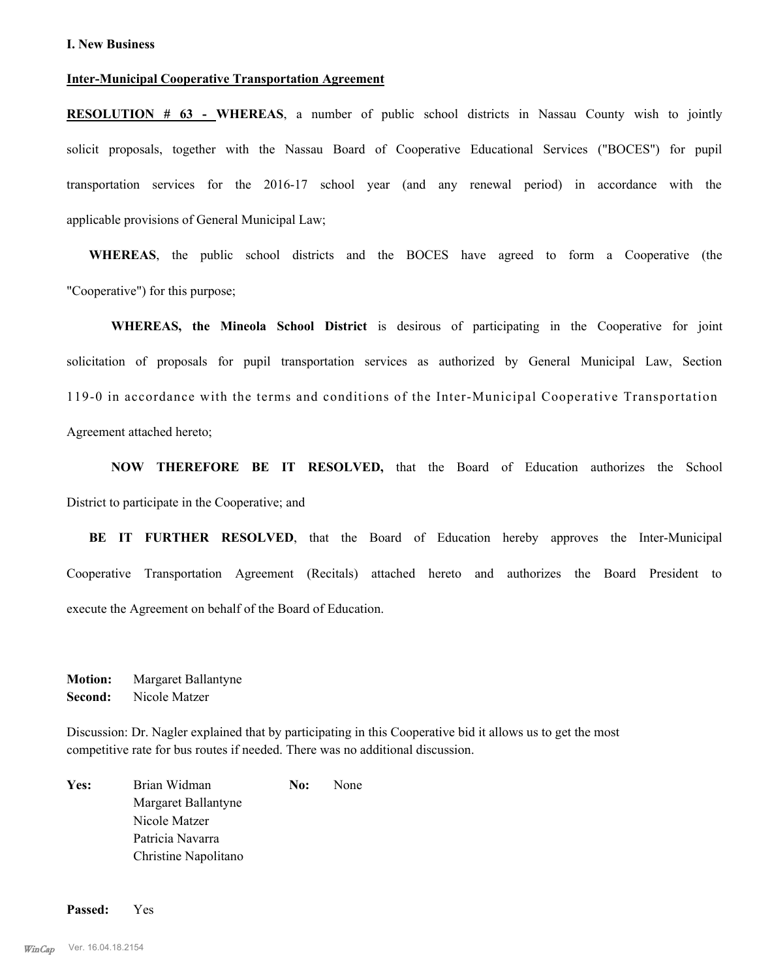#### **Inter-Municipal Cooperative Transportation Agreement**

**RESOLUTION # 63 - WHEREAS**, a number of public school districts in Nassau County wish to jointly solicit proposals, together with the Nassau Board of Cooperative Educational Services ("BOCES") for pupil transportation services for the 2016-17 school year (and any renewal period) in accordance with the applicable provisions of General Municipal Law;

**WHEREAS**, the public school districts and the BOCES have agreed to form a Cooperative (the "Cooperative") for this purpose;

**WHEREAS, the Mineola School District** is desirous of participating in the Cooperative for joint solicitation of proposals for pupil transportation services as authorized by General Municipal Law, Section 119-0 in accordance with the terms and conditions of the Inter-Municipal Cooperative Transportation Agreement attached hereto;

**NOW THEREFORE BE IT RESOLVED,** that the Board of Education authorizes the School District to participate in the Cooperative; and

**BE IT FURTHER RESOLVED**, that the Board of Education hereby approves the Inter-Municipal Cooperative Transportation Agreement (Recitals) attached hereto and authorizes the Board President to execute the Agreement on behalf of the Board of Education.

**Motion:** Margaret Ballantyne **Second:** Nicole Matzer

Discussion: Dr. Nagler explained that by participating in this Cooperative bid it allows us to get the most competitive rate for bus routes if needed. There was no additional discussion.

Yes: Brian Widman **No:** None Margaret Ballantyne Nicole Matzer Patricia Navarra Christine Napolitano

**Passed:** Yes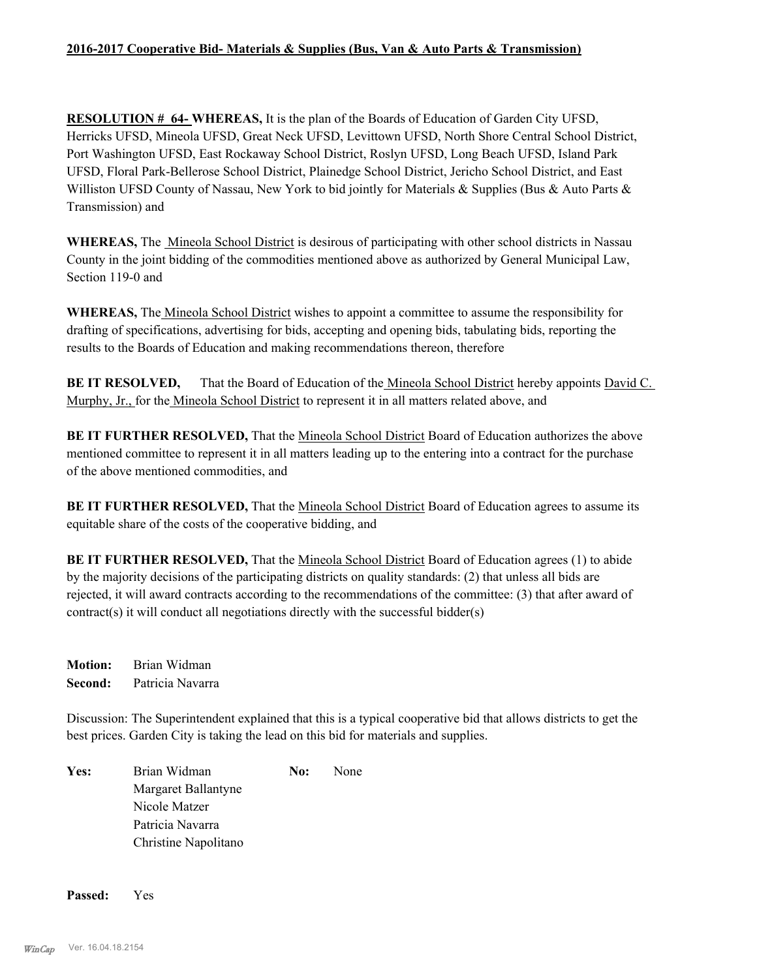## **2016-2017 Cooperative Bid- Materials & Supplies (Bus, Van & Auto Parts & Transmission)**

**RESOLUTION # 64- WHEREAS,** It is the plan of the Boards of Education of Garden City UFSD, Herricks UFSD, Mineola UFSD, Great Neck UFSD, Levittown UFSD, North Shore Central School District, Port Washington UFSD, East Rockaway School District, Roslyn UFSD, Long Beach UFSD, Island Park UFSD, Floral Park-Bellerose School District, Plainedge School District, Jericho School District, and East Williston UFSD County of Nassau, New York to bid jointly for Materials & Supplies (Bus & Auto Parts & Transmission) and

**WHEREAS,** The Mineola School District is desirous of participating with other school districts in Nassau County in the joint bidding of the commodities mentioned above as authorized by General Municipal Law, Section 119-0 and

**WHEREAS,** The Mineola School District wishes to appoint a committee to assume the responsibility for drafting of specifications, advertising for bids, accepting and opening bids, tabulating bids, reporting the results to the Boards of Education and making recommendations thereon, therefore

**BE IT RESOLVED,** That the Board of Education of the <u>Mineola School District</u> hereby appoints David C. Murphy, Jr., for the Mineola School District to represent it in all matters related above, and

**BE IT FURTHER RESOLVED,** That the Mineola School District Board of Education authorizes the above mentioned committee to represent it in all matters leading up to the entering into a contract for the purchase of the above mentioned commodities, and

**BE IT FURTHER RESOLVED,** That the Mineola School District Board of Education agrees to assume its equitable share of the costs of the cooperative bidding, and

**BE IT FURTHER RESOLVED,** That the Mineola School District Board of Education agrees (1) to abide by the majority decisions of the participating districts on quality standards: (2) that unless all bids are rejected, it will award contracts according to the recommendations of the committee: (3) that after award of contract(s) it will conduct all negotiations directly with the successful bidder(s)

**Motion:** Brian Widman **Second:** Patricia Navarra

Discussion: The Superintendent explained that this is a typical cooperative bid that allows districts to get the best prices. Garden City is taking the lead on this bid for materials and supplies.

Yes: Brian Widman **No:** None Margaret Ballantyne Nicole Matzer Patricia Navarra Christine Napolitano

**Passed:** Yes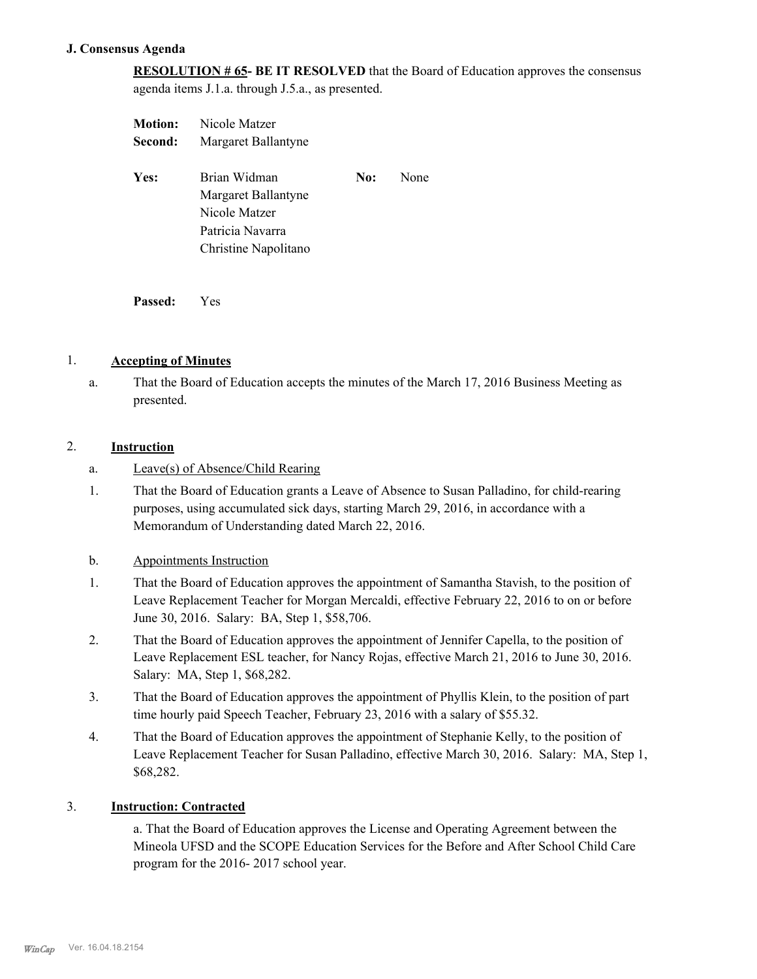## **J. Consensus Agenda**

**RESOLUTION # 65- BE IT RESOLVED** that the Board of Education approves the consensus agenda items J.1.a. through J.5.a., as presented.

| <b>Motion:</b> | Nicole Matzer        |     |      |  |
|----------------|----------------------|-----|------|--|
| Second:        | Margaret Ballantyne  |     |      |  |
| Yes:           | Brian Widman         | No: | None |  |
|                | Margaret Ballantyne  |     |      |  |
|                | Nicole Matzer        |     |      |  |
|                | Patricia Navarra     |     |      |  |
|                | Christine Napolitano |     |      |  |
|                |                      |     |      |  |

**Passed:** Yes

## 1. **Accepting of Minutes**

That the Board of Education accepts the minutes of the March 17, 2016 Business Meeting as presented. a.

#### 2. **Instruction**

- a. Leave(s) of Absence/Child Rearing
- That the Board of Education grants a Leave of Absence to Susan Palladino, for child-rearing purposes, using accumulated sick days, starting March 29, 2016, in accordance with a Memorandum of Understanding dated March 22, 2016. 1.

#### b. Appointments Instruction

- That the Board of Education approves the appointment of Samantha Stavish, to the position of Leave Replacement Teacher for Morgan Mercaldi, effective February 22, 2016 to on or before June 30, 2016. Salary: BA, Step 1, \$58,706. 1.
- That the Board of Education approves the appointment of Jennifer Capella, to the position of Leave Replacement ESL teacher, for Nancy Rojas, effective March 21, 2016 to June 30, 2016. Salary: MA, Step 1, \$68,282. 2.
- That the Board of Education approves the appointment of Phyllis Klein, to the position of part time hourly paid Speech Teacher, February 23, 2016 with a salary of \$55.32. 3.
- That the Board of Education approves the appointment of Stephanie Kelly, to the position of Leave Replacement Teacher for Susan Palladino, effective March 30, 2016. Salary: MA, Step 1, \$68,282. 4.

#### 3. **Instruction: Contracted**

a. That the Board of Education approves the License and Operating Agreement between the Mineola UFSD and the SCOPE Education Services for the Before and After School Child Care program for the 2016- 2017 school year.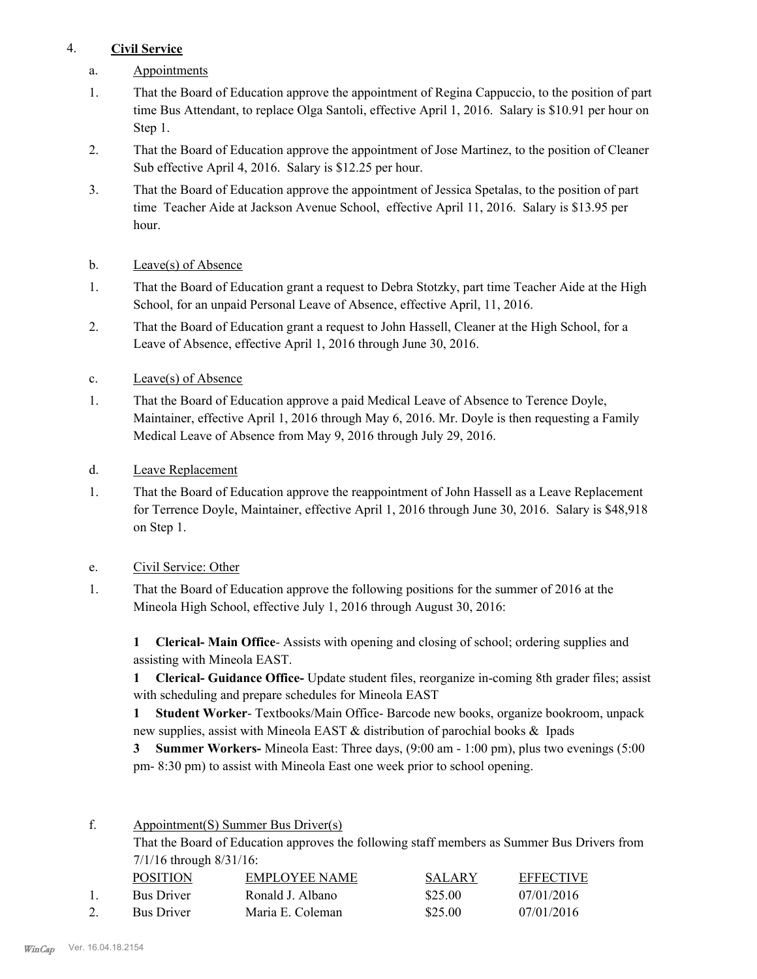## 4. **Civil Service**

- a. Appointments
- That the Board of Education approve the appointment of Regina Cappuccio, to the position of part time Bus Attendant, to replace Olga Santoli, effective April 1, 2016. Salary is \$10.91 per hour on Step 1. 1.
- That the Board of Education approve the appointment of Jose Martinez, to the position of Cleaner Sub effective April 4, 2016. Salary is \$12.25 per hour. 2.
- That the Board of Education approve the appointment of Jessica Spetalas, to the position of part time Teacher Aide at Jackson Avenue School, effective April 11, 2016. Salary is \$13.95 per hour. 3.
- b. Leave(s) of Absence
- That the Board of Education grant a request to Debra Stotzky, part time Teacher Aide at the High School, for an unpaid Personal Leave of Absence, effective April, 11, 2016. 1.
- That the Board of Education grant a request to John Hassell, Cleaner at the High School, for a Leave of Absence, effective April 1, 2016 through June 30, 2016. 2.
- c. Leave(s) of Absence
- That the Board of Education approve a paid Medical Leave of Absence to Terence Doyle, Maintainer, effective April 1, 2016 through May 6, 2016. Mr. Doyle is then requesting a Family Medical Leave of Absence from May 9, 2016 through July 29, 2016. 1.
- d. Leave Replacement
- That the Board of Education approve the reappointment of John Hassell as a Leave Replacement for Terrence Doyle, Maintainer, effective April 1, 2016 through June 30, 2016. Salary is \$48,918 on Step 1. 1.
- e. Civil Service: Other
- That the Board of Education approve the following positions for the summer of 2016 at the Mineola High School, effective July 1, 2016 through August 30, 2016: 1.

**1 Clerical- Main Office**- Assists with opening and closing of school; ordering supplies and assisting with Mineola EAST.

**1 Clerical- Guidance Office-** Update student files, reorganize in-coming 8th grader files; assist with scheduling and prepare schedules for Mineola EAST

**1 Student Worker**- Textbooks/Main Office- Barcode new books, organize bookroom, unpack new supplies, assist with Mineola EAST & distribution of parochial books & Ipads

**3 Summer Workers-** Mineola East: Three days, (9:00 am - 1:00 pm), plus two evenings (5:00 pm- 8:30 pm) to assist with Mineola East one week prior to school opening.

Appointment(S) Summer Bus Driver(s) f.

> That the Board of Education approves the following staff members as Summer Bus Drivers from 7/1/16 through 8/31/16:

| <b>POSITION</b>   | EMPLOYEE NAME    | <b>SALARY</b> | <b>EFFECTIVE</b> |
|-------------------|------------------|---------------|------------------|
| <b>Bus Driver</b> | Ronald J. Albano | \$25.00       | 07/01/2016       |
| <b>Bus Driver</b> | Maria E. Coleman | \$25.00       | 07/01/2016       |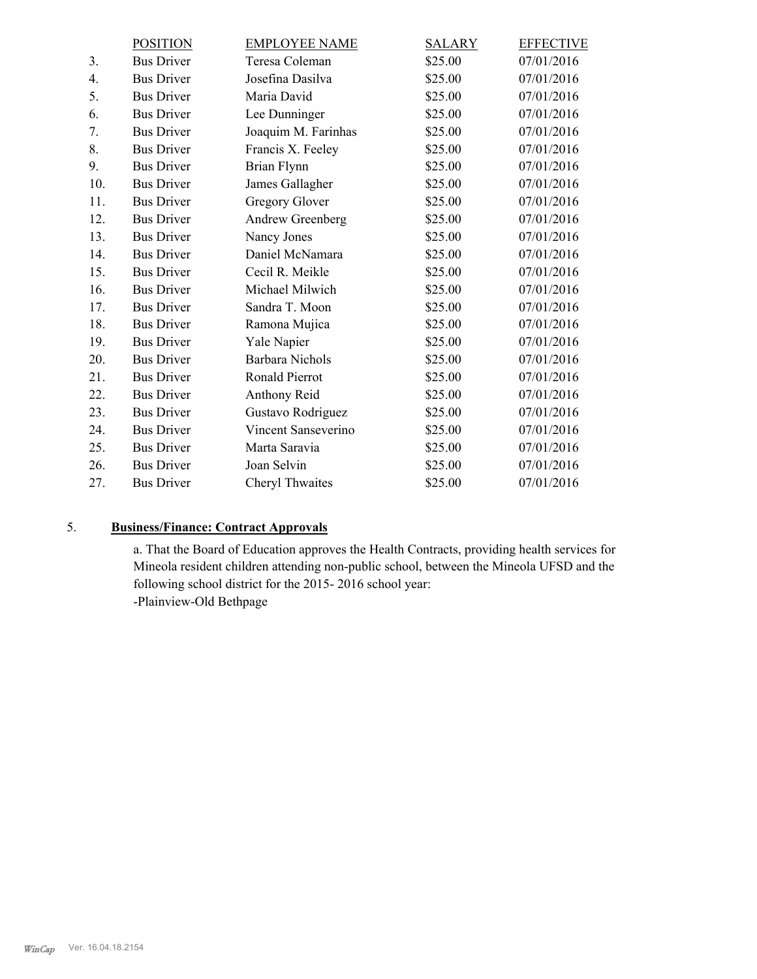|     | <b>POSITION</b>   | <b>EMPLOYEE NAME</b>   | <b>SALARY</b> | <b>EFFECTIVE</b> |
|-----|-------------------|------------------------|---------------|------------------|
| 3.  | <b>Bus Driver</b> | Teresa Coleman         | \$25.00       | 07/01/2016       |
| 4.  | <b>Bus Driver</b> | Josefina Dasilva       | \$25.00       | 07/01/2016       |
| 5.  | <b>Bus Driver</b> | Maria David            | \$25.00       | 07/01/2016       |
| 6.  | <b>Bus Driver</b> | Lee Dunninger          | \$25.00       | 07/01/2016       |
| 7.  | <b>Bus Driver</b> | Joaquim M. Farinhas    | \$25.00       | 07/01/2016       |
| 8.  | <b>Bus Driver</b> | Francis X. Feeley      | \$25.00       | 07/01/2016       |
| 9.  | <b>Bus Driver</b> | Brian Flynn            | \$25.00       | 07/01/2016       |
| 10. | <b>Bus Driver</b> | James Gallagher        | \$25.00       | 07/01/2016       |
| 11. | <b>Bus Driver</b> | <b>Gregory Glover</b>  | \$25.00       | 07/01/2016       |
| 12. | <b>Bus Driver</b> | Andrew Greenberg       | \$25.00       | 07/01/2016       |
| 13. | <b>Bus Driver</b> | Nancy Jones            | \$25.00       | 07/01/2016       |
| 14. | <b>Bus Driver</b> | Daniel McNamara        | \$25.00       | 07/01/2016       |
| 15. | <b>Bus Driver</b> | Cecil R. Meikle        | \$25.00       | 07/01/2016       |
| 16. | <b>Bus Driver</b> | Michael Milwich        | \$25.00       | 07/01/2016       |
| 17. | <b>Bus Driver</b> | Sandra T. Moon         | \$25.00       | 07/01/2016       |
| 18. | <b>Bus Driver</b> | Ramona Mujica          | \$25.00       | 07/01/2016       |
| 19. | <b>Bus Driver</b> | Yale Napier            | \$25.00       | 07/01/2016       |
| 20. | <b>Bus Driver</b> | <b>Barbara Nichols</b> | \$25.00       | 07/01/2016       |
| 21. | <b>Bus Driver</b> | Ronald Pierrot         | \$25.00       | 07/01/2016       |
| 22. | <b>Bus Driver</b> | Anthony Reid           | \$25.00       | 07/01/2016       |
| 23. | <b>Bus Driver</b> | Gustavo Rodriguez      | \$25.00       | 07/01/2016       |
| 24. | <b>Bus Driver</b> | Vincent Sanseverino    | \$25.00       | 07/01/2016       |
| 25. | <b>Bus Driver</b> | Marta Saravia          | \$25.00       | 07/01/2016       |
| 26. | <b>Bus Driver</b> | Joan Selvin            | \$25.00       | 07/01/2016       |
| 27. | <b>Bus Driver</b> | Cheryl Thwaites        | \$25.00       | 07/01/2016       |
|     |                   |                        |               |                  |

# 5. **Business/Finance: Contract Approvals**

a. That the Board of Education approves the Health Contracts, providing health services for Mineola resident children attending non-public school, between the Mineola UFSD and the following school district for the 2015- 2016 school year:

-Plainview-Old Bethpage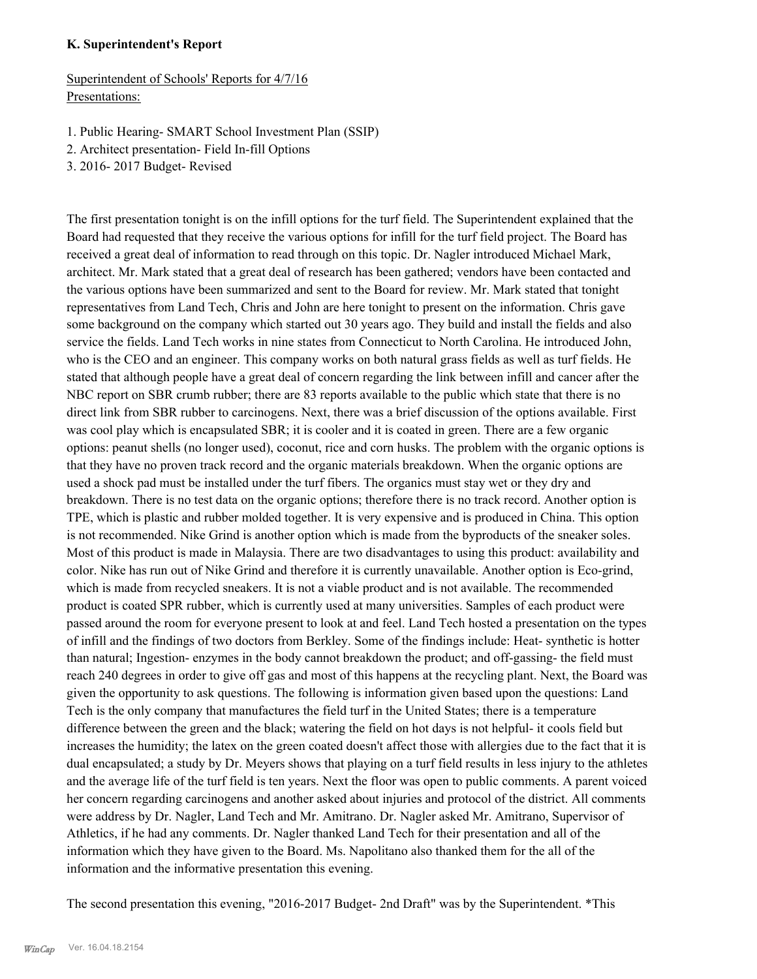## **K. Superintendent's Report**

Superintendent of Schools' Reports for 4/7/16 Presentations:

- 1. Public Hearing- SMART School Investment Plan (SSIP)
- 2. Architect presentation- Field In-fill Options
- 3. 2016- 2017 Budget- Revised

The first presentation tonight is on the infill options for the turf field. The Superintendent explained that the Board had requested that they receive the various options for infill for the turf field project. The Board has received a great deal of information to read through on this topic. Dr. Nagler introduced Michael Mark, architect. Mr. Mark stated that a great deal of research has been gathered; vendors have been contacted and the various options have been summarized and sent to the Board for review. Mr. Mark stated that tonight representatives from Land Tech, Chris and John are here tonight to present on the information. Chris gave some background on the company which started out 30 years ago. They build and install the fields and also service the fields. Land Tech works in nine states from Connecticut to North Carolina. He introduced John, who is the CEO and an engineer. This company works on both natural grass fields as well as turf fields. He stated that although people have a great deal of concern regarding the link between infill and cancer after the NBC report on SBR crumb rubber; there are 83 reports available to the public which state that there is no direct link from SBR rubber to carcinogens. Next, there was a brief discussion of the options available. First was cool play which is encapsulated SBR; it is cooler and it is coated in green. There are a few organic options: peanut shells (no longer used), coconut, rice and corn husks. The problem with the organic options is that they have no proven track record and the organic materials breakdown. When the organic options are used a shock pad must be installed under the turf fibers. The organics must stay wet or they dry and breakdown. There is no test data on the organic options; therefore there is no track record. Another option is TPE, which is plastic and rubber molded together. It is very expensive and is produced in China. This option is not recommended. Nike Grind is another option which is made from the byproducts of the sneaker soles. Most of this product is made in Malaysia. There are two disadvantages to using this product: availability and color. Nike has run out of Nike Grind and therefore it is currently unavailable. Another option is Eco-grind, which is made from recycled sneakers. It is not a viable product and is not available. The recommended product is coated SPR rubber, which is currently used at many universities. Samples of each product were passed around the room for everyone present to look at and feel. Land Tech hosted a presentation on the types of infill and the findings of two doctors from Berkley. Some of the findings include: Heat- synthetic is hotter than natural; Ingestion- enzymes in the body cannot breakdown the product; and off-gassing- the field must reach 240 degrees in order to give off gas and most of this happens at the recycling plant. Next, the Board was given the opportunity to ask questions. The following is information given based upon the questions: Land Tech is the only company that manufactures the field turf in the United States; there is a temperature difference between the green and the black; watering the field on hot days is not helpful- it cools field but increases the humidity; the latex on the green coated doesn't affect those with allergies due to the fact that it is dual encapsulated; a study by Dr. Meyers shows that playing on a turf field results in less injury to the athletes and the average life of the turf field is ten years. Next the floor was open to public comments. A parent voiced her concern regarding carcinogens and another asked about injuries and protocol of the district. All comments were address by Dr. Nagler, Land Tech and Mr. Amitrano. Dr. Nagler asked Mr. Amitrano, Supervisor of Athletics, if he had any comments. Dr. Nagler thanked Land Tech for their presentation and all of the information which they have given to the Board. Ms. Napolitano also thanked them for the all of the information and the informative presentation this evening.

The second presentation this evening, "2016-2017 Budget- 2nd Draft" was by the Superintendent. \*This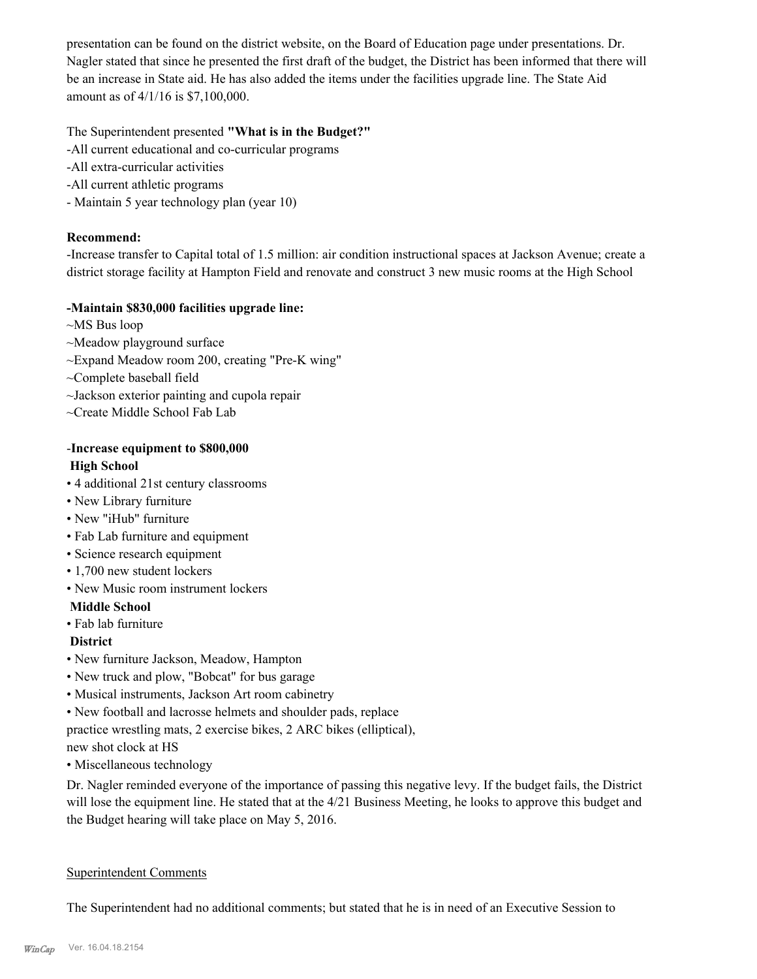presentation can be found on the district website, on the Board of Education page under presentations. Dr. Nagler stated that since he presented the first draft of the budget, the District has been informed that there will be an increase in State aid. He has also added the items under the facilities upgrade line. The State Aid amount as of 4/1/16 is \$7,100,000.

## The Superintendent presented **"What is in the Budget?"**

- -All current educational and co-curricular programs
- -All extra-curricular activities
- -All current athletic programs
- Maintain 5 year technology plan (year 10)

## **Recommend:**

-Increase transfer to Capital total of 1.5 million: air condition instructional spaces at Jackson Avenue; create a district storage facility at Hampton Field and renovate and construct 3 new music rooms at the High School

## **-Maintain \$830,000 facilities upgrade line:**

- ~MS Bus loop
- ~Meadow playground surface
- ~Expand Meadow room 200, creating "Pre-K wing"
- ~Complete baseball field
- ~Jackson exterior painting and cupola repair
- ~Create Middle School Fab Lab

## -**Increase equipment to \$800,000 High School**

- 4 additional 21st century classrooms
- New Library furniture
- New "iHub" furniture
- Fab Lab furniture and equipment
- Science research equipment
- 1,700 new student lockers
- New Music room instrument lockers

## **Middle School**

• Fab lab furniture

## **District**

- New furniture Jackson, Meadow, Hampton
- New truck and plow, "Bobcat" for bus garage
- Musical instruments, Jackson Art room cabinetry
- New football and lacrosse helmets and shoulder pads, replace
- practice wrestling mats, 2 exercise bikes, 2 ARC bikes (elliptical),

new shot clock at HS

• Miscellaneous technology

Dr. Nagler reminded everyone of the importance of passing this negative levy. If the budget fails, the District will lose the equipment line. He stated that at the 4/21 Business Meeting, he looks to approve this budget and the Budget hearing will take place on May 5, 2016.

## Superintendent Comments

The Superintendent had no additional comments; but stated that he is in need of an Executive Session to